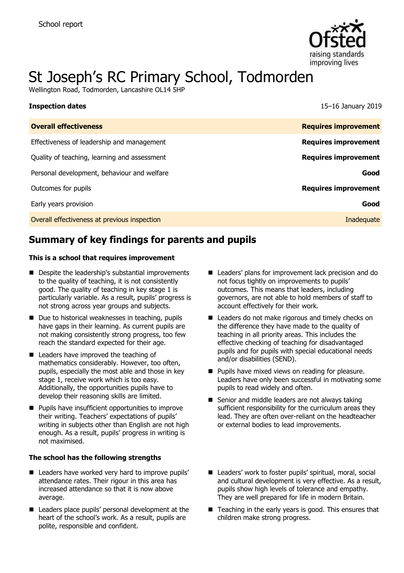

# St Joseph's RC Primary School, Todmorden

Wellington Road, Todmorden, Lancashire OL14 5HP

| <b>Inspection dates</b>                      | 15-16 January 2019          |
|----------------------------------------------|-----------------------------|
| <b>Overall effectiveness</b>                 | <b>Requires improvement</b> |
| Effectiveness of leadership and management   | <b>Requires improvement</b> |
| Quality of teaching, learning and assessment | <b>Requires improvement</b> |
| Personal development, behaviour and welfare  | Good                        |
| Outcomes for pupils                          | <b>Requires improvement</b> |
| Early years provision                        | Good                        |
| Overall effectiveness at previous inspection | Inadequate                  |
|                                              |                             |

# **Summary of key findings for parents and pupils**

#### **This is a school that requires improvement**

- Despite the leadership's substantial improvements to the quality of teaching, it is not consistently good. The quality of teaching in key stage 1 is particularly variable. As a result, pupils' progress is not strong across year groups and subjects.
- Due to historical weaknesses in teaching, pupils have gaps in their learning. As current pupils are not making consistently strong progress, too few reach the standard expected for their age.
- Leaders have improved the teaching of mathematics considerably. However, too often, pupils, especially the most able and those in key stage 1, receive work which is too easy. Additionally, the opportunities pupils have to develop their reasoning skills are limited.
- **Pupils have insufficient opportunities to improve** their writing. Teachers' expectations of pupils' writing in subjects other than English are not high enough. As a result, pupils' progress in writing is not maximised.

#### **The school has the following strengths**

- Leaders have worked very hard to improve pupils' attendance rates. Their rigour in this area has increased attendance so that it is now above average.
- Leaders place pupils' personal development at the heart of the school's work. As a result, pupils are polite, responsible and confident.
- Leaders' plans for improvement lack precision and do not focus tightly on improvements to pupils' outcomes. This means that leaders, including governors, are not able to hold members of staff to account effectively for their work.
- Leaders do not make rigorous and timely checks on the difference they have made to the quality of teaching in all priority areas. This includes the effective checking of teaching for disadvantaged pupils and for pupils with special educational needs and/or disabilities (SEND).
- **Pupils have mixed views on reading for pleasure.** Leaders have only been successful in motivating some pupils to read widely and often.
- Senior and middle leaders are not always taking sufficient responsibility for the curriculum areas they lead. They are often over-reliant on the headteacher or external bodies to lead improvements.
- Leaders' work to foster pupils' spiritual, moral, social and cultural development is very effective. As a result, pupils show high levels of tolerance and empathy. They are well prepared for life in modern Britain.
- $\blacksquare$  Teaching in the early years is good. This ensures that children make strong progress.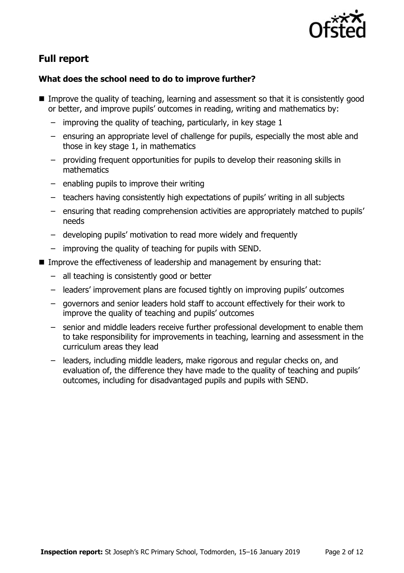

# **Full report**

### **What does the school need to do to improve further?**

- Improve the quality of teaching, learning and assessment so that it is consistently good or better, and improve pupils' outcomes in reading, writing and mathematics by:
	- improving the quality of teaching, particularly, in key stage 1
	- ensuring an appropriate level of challenge for pupils, especially the most able and those in key stage 1, in mathematics
	- providing frequent opportunities for pupils to develop their reasoning skills in mathematics
	- enabling pupils to improve their writing
	- teachers having consistently high expectations of pupils' writing in all subjects
	- ensuring that reading comprehension activities are appropriately matched to pupils' needs
	- developing pupils' motivation to read more widely and frequently
	- improving the quality of teaching for pupils with SEND.
- Improve the effectiveness of leadership and management by ensuring that:
	- all teaching is consistently good or better
	- leaders' improvement plans are focused tightly on improving pupils' outcomes
	- governors and senior leaders hold staff to account effectively for their work to improve the quality of teaching and pupils' outcomes
	- senior and middle leaders receive further professional development to enable them to take responsibility for improvements in teaching, learning and assessment in the curriculum areas they lead
	- leaders, including middle leaders, make rigorous and regular checks on, and evaluation of, the difference they have made to the quality of teaching and pupils' outcomes, including for disadvantaged pupils and pupils with SEND.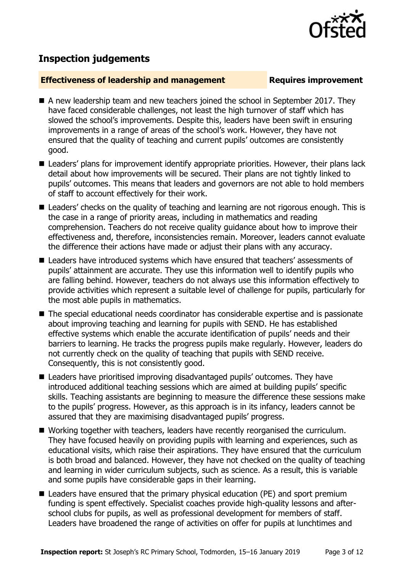# **Inspection judgements**

#### **Effectiveness of leadership and management Requires improvement**

- A new leadership team and new teachers joined the school in September 2017. They have faced considerable challenges, not least the high turnover of staff which has slowed the school's improvements. Despite this, leaders have been swift in ensuring improvements in a range of areas of the school's work. However, they have not ensured that the quality of teaching and current pupils' outcomes are consistently good.
- Leaders' plans for improvement identify appropriate priorities. However, their plans lack detail about how improvements will be secured. Their plans are not tightly linked to pupils' outcomes. This means that leaders and governors are not able to hold members of staff to account effectively for their work.
- Leaders' checks on the quality of teaching and learning are not rigorous enough. This is the case in a range of priority areas, including in mathematics and reading comprehension. Teachers do not receive quality guidance about how to improve their effectiveness and, therefore, inconsistencies remain. Moreover, leaders cannot evaluate the difference their actions have made or adjust their plans with any accuracy.
- Leaders have introduced systems which have ensured that teachers' assessments of pupils' attainment are accurate. They use this information well to identify pupils who are falling behind. However, teachers do not always use this information effectively to provide activities which represent a suitable level of challenge for pupils, particularly for the most able pupils in mathematics.
- The special educational needs coordinator has considerable expertise and is passionate about improving teaching and learning for pupils with SEND. He has established effective systems which enable the accurate identification of pupils' needs and their barriers to learning. He tracks the progress pupils make regularly. However, leaders do not currently check on the quality of teaching that pupils with SEND receive. Consequently, this is not consistently good.
- Leaders have prioritised improving disadvantaged pupils' outcomes. They have introduced additional teaching sessions which are aimed at building pupils' specific skills. Teaching assistants are beginning to measure the difference these sessions make to the pupils' progress. However, as this approach is in its infancy, leaders cannot be assured that they are maximising disadvantaged pupils' progress.
- Working together with teachers, leaders have recently reorganised the curriculum. They have focused heavily on providing pupils with learning and experiences, such as educational visits, which raise their aspirations. They have ensured that the curriculum is both broad and balanced. However, they have not checked on the quality of teaching and learning in wider curriculum subjects, such as science. As a result, this is variable and some pupils have considerable gaps in their learning.
- Leaders have ensured that the primary physical education (PE) and sport premium funding is spent effectively. Specialist coaches provide high-quality lessons and afterschool clubs for pupils, as well as professional development for members of staff. Leaders have broadened the range of activities on offer for pupils at lunchtimes and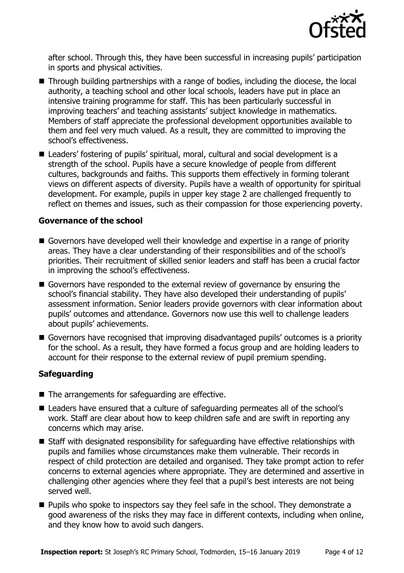

after school. Through this, they have been successful in increasing pupils' participation in sports and physical activities.

- Through building partnerships with a range of bodies, including the diocese, the local authority, a teaching school and other local schools, leaders have put in place an intensive training programme for staff. This has been particularly successful in improving teachers' and teaching assistants' subject knowledge in mathematics. Members of staff appreciate the professional development opportunities available to them and feel very much valued. As a result, they are committed to improving the school's effectiveness.
- Leaders' fostering of pupils' spiritual, moral, cultural and social development is a strength of the school. Pupils have a secure knowledge of people from different cultures, backgrounds and faiths. This supports them effectively in forming tolerant views on different aspects of diversity. Pupils have a wealth of opportunity for spiritual development. For example, pupils in upper key stage 2 are challenged frequently to reflect on themes and issues, such as their compassion for those experiencing poverty.

#### **Governance of the school**

- Governors have developed well their knowledge and expertise in a range of priority areas. They have a clear understanding of their responsibilities and of the school's priorities. Their recruitment of skilled senior leaders and staff has been a crucial factor in improving the school's effectiveness.
- Governors have responded to the external review of governance by ensuring the school's financial stability. They have also developed their understanding of pupils' assessment information. Senior leaders provide governors with clear information about pupils' outcomes and attendance. Governors now use this well to challenge leaders about pupils' achievements.
- Governors have recognised that improving disadvantaged pupils' outcomes is a priority for the school. As a result, they have formed a focus group and are holding leaders to account for their response to the external review of pupil premium spending.

### **Safeguarding**

- The arrangements for safeguarding are effective.
- Leaders have ensured that a culture of safeguarding permeates all of the school's work. Staff are clear about how to keep children safe and are swift in reporting any concerns which may arise.
- Staff with designated responsibility for safeguarding have effective relationships with pupils and families whose circumstances make them vulnerable. Their records in respect of child protection are detailed and organised. They take prompt action to refer concerns to external agencies where appropriate. They are determined and assertive in challenging other agencies where they feel that a pupil's best interests are not being served well.
- **Pupils who spoke to inspectors say they feel safe in the school. They demonstrate a** good awareness of the risks they may face in different contexts, including when online, and they know how to avoid such dangers.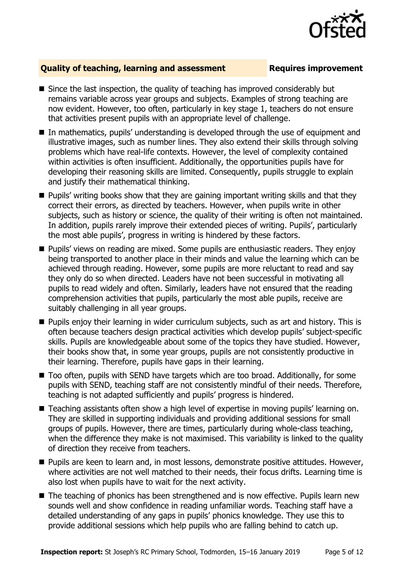

#### **Quality of teaching, learning and assessment Fig. 2.1 Requires improvement**

- Since the last inspection, the quality of teaching has improved considerably but remains variable across year groups and subjects. Examples of strong teaching are now evident. However, too often, particularly in key stage 1, teachers do not ensure that activities present pupils with an appropriate level of challenge.
- In mathematics, pupils' understanding is developed through the use of equipment and illustrative images, such as number lines. They also extend their skills through solving problems which have real-life contexts. However, the level of complexity contained within activities is often insufficient. Additionally, the opportunities pupils have for developing their reasoning skills are limited. Consequently, pupils struggle to explain and justify their mathematical thinking.
- **Pupils' writing books show that they are gaining important writing skills and that they** correct their errors, as directed by teachers. However, when pupils write in other subjects, such as history or science, the quality of their writing is often not maintained. In addition, pupils rarely improve their extended pieces of writing. Pupils', particularly the most able pupils', progress in writing is hindered by these factors.
- **Pupils'** views on reading are mixed. Some pupils are enthusiastic readers. They enjoy being transported to another place in their minds and value the learning which can be achieved through reading. However, some pupils are more reluctant to read and say they only do so when directed. Leaders have not been successful in motivating all pupils to read widely and often. Similarly, leaders have not ensured that the reading comprehension activities that pupils, particularly the most able pupils, receive are suitably challenging in all year groups.
- **Pupils enjoy their learning in wider curriculum subjects, such as art and history. This is** often because teachers design practical activities which develop pupils' subject-specific skills. Pupils are knowledgeable about some of the topics they have studied. However, their books show that, in some year groups, pupils are not consistently productive in their learning. Therefore, pupils have gaps in their learning.
- Too often, pupils with SEND have targets which are too broad. Additionally, for some pupils with SEND, teaching staff are not consistently mindful of their needs. Therefore, teaching is not adapted sufficiently and pupils' progress is hindered.
- Teaching assistants often show a high level of expertise in moving pupils' learning on. They are skilled in supporting individuals and providing additional sessions for small groups of pupils. However, there are times, particularly during whole-class teaching, when the difference they make is not maximised. This variability is linked to the quality of direction they receive from teachers.
- **Pupils are keen to learn and, in most lessons, demonstrate positive attitudes. However,** where activities are not well matched to their needs, their focus drifts. Learning time is also lost when pupils have to wait for the next activity.
- The teaching of phonics has been strengthened and is now effective. Pupils learn new sounds well and show confidence in reading unfamiliar words. Teaching staff have a detailed understanding of any gaps in pupils' phonics knowledge. They use this to provide additional sessions which help pupils who are falling behind to catch up.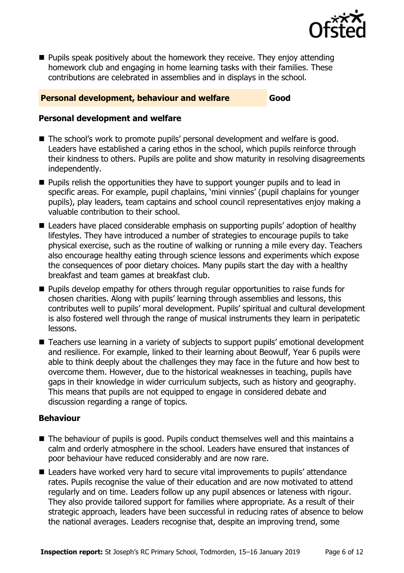

**Pupils speak positively about the homework they receive. They enjoy attending** homework club and engaging in home learning tasks with their families. These contributions are celebrated in assemblies and in displays in the school.

### **Personal development, behaviour and welfare Good**

#### **Personal development and welfare**

- The school's work to promote pupils' personal development and welfare is good. Leaders have established a caring ethos in the school, which pupils reinforce through their kindness to others. Pupils are polite and show maturity in resolving disagreements independently.
- **Pupils relish the opportunities they have to support younger pupils and to lead in** specific areas. For example, pupil chaplains, 'mini vinnies' (pupil chaplains for younger pupils), play leaders, team captains and school council representatives enjoy making a valuable contribution to their school.
- Leaders have placed considerable emphasis on supporting pupils' adoption of healthy lifestyles. They have introduced a number of strategies to encourage pupils to take physical exercise, such as the routine of walking or running a mile every day. Teachers also encourage healthy eating through science lessons and experiments which expose the consequences of poor dietary choices. Many pupils start the day with a healthy breakfast and team games at breakfast club.
- **Pupils develop empathy for others through regular opportunities to raise funds for** chosen charities. Along with pupils' learning through assemblies and lessons, this contributes well to pupils' moral development. Pupils' spiritual and cultural development is also fostered well through the range of musical instruments they learn in peripatetic lessons.
- Teachers use learning in a variety of subjects to support pupils' emotional development and resilience. For example, linked to their learning about Beowulf, Year 6 pupils were able to think deeply about the challenges they may face in the future and how best to overcome them. However, due to the historical weaknesses in teaching, pupils have gaps in their knowledge in wider curriculum subjects, such as history and geography. This means that pupils are not equipped to engage in considered debate and discussion regarding a range of topics.

#### **Behaviour**

- The behaviour of pupils is good. Pupils conduct themselves well and this maintains a calm and orderly atmosphere in the school. Leaders have ensured that instances of poor behaviour have reduced considerably and are now rare.
- Leaders have worked very hard to secure vital improvements to pupils' attendance rates. Pupils recognise the value of their education and are now motivated to attend regularly and on time. Leaders follow up any pupil absences or lateness with rigour. They also provide tailored support for families where appropriate. As a result of their strategic approach, leaders have been successful in reducing rates of absence to below the national averages. Leaders recognise that, despite an improving trend, some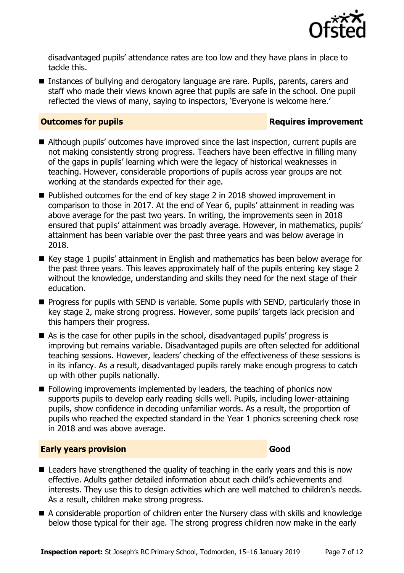

disadvantaged pupils' attendance rates are too low and they have plans in place to tackle this.

■ Instances of bullying and derogatory language are rare. Pupils, parents, carers and staff who made their views known agree that pupils are safe in the school. One pupil reflected the views of many, saying to inspectors, 'Everyone is welcome here.'

#### **Outcomes for pupils Requires improvement**

- Although pupils' outcomes have improved since the last inspection, current pupils are not making consistently strong progress. Teachers have been effective in filling many of the gaps in pupils' learning which were the legacy of historical weaknesses in teaching. However, considerable proportions of pupils across year groups are not working at the standards expected for their age.
- Published outcomes for the end of key stage 2 in 2018 showed improvement in comparison to those in 2017. At the end of Year 6, pupils' attainment in reading was above average for the past two years. In writing, the improvements seen in 2018 ensured that pupils' attainment was broadly average. However, in mathematics, pupils' attainment has been variable over the past three years and was below average in 2018.
- Key stage 1 pupils' attainment in English and mathematics has been below average for the past three years. This leaves approximately half of the pupils entering key stage 2 without the knowledge, understanding and skills they need for the next stage of their education.
- **Progress for pupils with SEND is variable. Some pupils with SEND, particularly those in** key stage 2, make strong progress. However, some pupils' targets lack precision and this hampers their progress.
- As is the case for other pupils in the school, disadvantaged pupils' progress is improving but remains variable. Disadvantaged pupils are often selected for additional teaching sessions. However, leaders' checking of the effectiveness of these sessions is in its infancy. As a result, disadvantaged pupils rarely make enough progress to catch up with other pupils nationally.
- **Following improvements implemented by leaders, the teaching of phonics now** supports pupils to develop early reading skills well. Pupils, including lower-attaining pupils, show confidence in decoding unfamiliar words. As a result, the proportion of pupils who reached the expected standard in the Year 1 phonics screening check rose in 2018 and was above average.

### **Early years provision Good Good**

- Leaders have strengthened the quality of teaching in the early years and this is now effective. Adults gather detailed information about each child's achievements and interests. They use this to design activities which are well matched to children's needs. As a result, children make strong progress.
- A considerable proportion of children enter the Nursery class with skills and knowledge below those typical for their age. The strong progress children now make in the early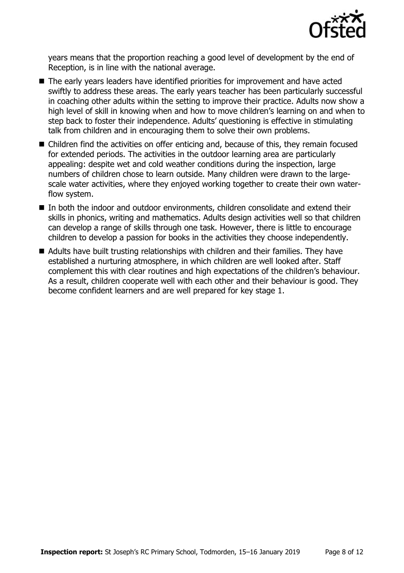

years means that the proportion reaching a good level of development by the end of Reception, is in line with the national average.

- The early years leaders have identified priorities for improvement and have acted swiftly to address these areas. The early years teacher has been particularly successful in coaching other adults within the setting to improve their practice. Adults now show a high level of skill in knowing when and how to move children's learning on and when to step back to foster their independence. Adults' questioning is effective in stimulating talk from children and in encouraging them to solve their own problems.
- Children find the activities on offer enticing and, because of this, they remain focused for extended periods. The activities in the outdoor learning area are particularly appealing: despite wet and cold weather conditions during the inspection, large numbers of children chose to learn outside. Many children were drawn to the largescale water activities, where they enjoyed working together to create their own waterflow system.
- In both the indoor and outdoor environments, children consolidate and extend their skills in phonics, writing and mathematics. Adults design activities well so that children can develop a range of skills through one task. However, there is little to encourage children to develop a passion for books in the activities they choose independently.
- Adults have built trusting relationships with children and their families. They have established a nurturing atmosphere, in which children are well looked after. Staff complement this with clear routines and high expectations of the children's behaviour. As a result, children cooperate well with each other and their behaviour is good. They become confident learners and are well prepared for key stage 1.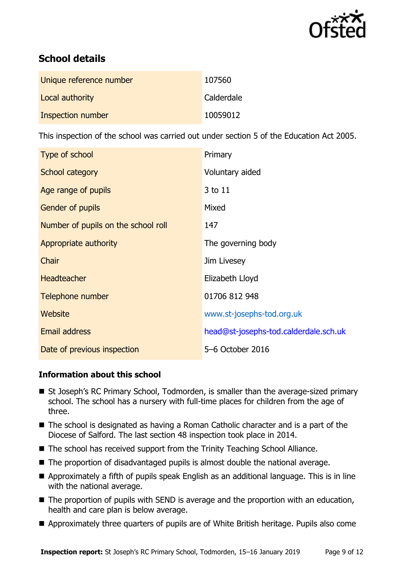

# **School details**

| Unique reference number | 107560     |
|-------------------------|------------|
| Local authority         | Calderdale |
| Inspection number       | 10059012   |

This inspection of the school was carried out under section 5 of the Education Act 2005.

| Type of school                      | Primary                               |
|-------------------------------------|---------------------------------------|
| School category                     | Voluntary aided                       |
| Age range of pupils                 | 3 to 11                               |
| <b>Gender of pupils</b>             | Mixed                                 |
| Number of pupils on the school roll | 147                                   |
| Appropriate authority               | The governing body                    |
| Chair                               | Jim Livesey                           |
| <b>Headteacher</b>                  | Elizabeth Lloyd                       |
| Telephone number                    | 01706 812 948                         |
| Website                             | www.st-josephs-tod.org.uk             |
| <b>Email address</b>                | head@st-josephs-tod.calderdale.sch.uk |
| Date of previous inspection         | 5-6 October 2016                      |

### **Information about this school**

- St Joseph's RC Primary School, Todmorden, is smaller than the average-sized primary school. The school has a nursery with full-time places for children from the age of three.
- The school is designated as having a Roman Catholic character and is a part of the Diocese of Salford. The last section 48 inspection took place in 2014.
- The school has received support from the Trinity Teaching School Alliance.
- The proportion of disadvantaged pupils is almost double the national average.
- Approximately a fifth of pupils speak English as an additional language. This is in line with the national average.
- The proportion of pupils with SEND is average and the proportion with an education, health and care plan is below average.
- Approximately three quarters of pupils are of White British heritage. Pupils also come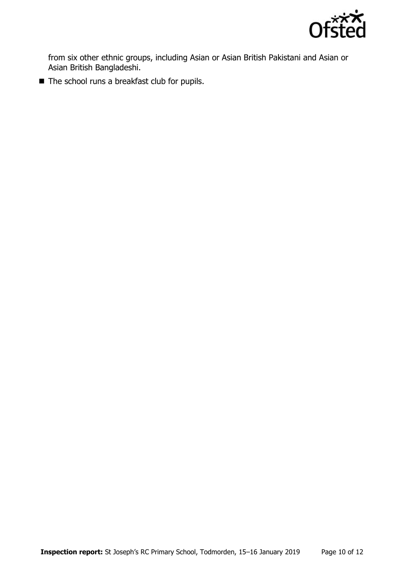

from six other ethnic groups, including Asian or Asian British Pakistani and Asian or Asian British Bangladeshi.

■ The school runs a breakfast club for pupils.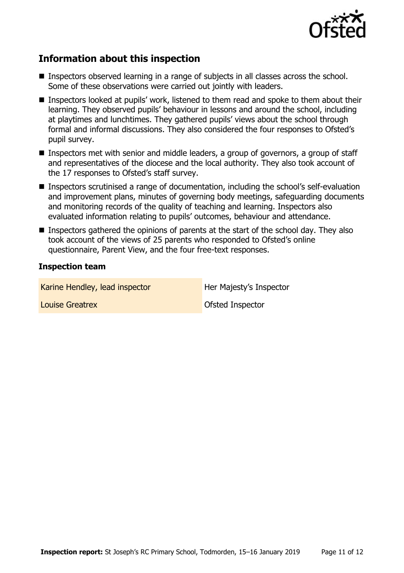

## **Information about this inspection**

- Inspectors observed learning in a range of subjects in all classes across the school. Some of these observations were carried out jointly with leaders.
- Inspectors looked at pupils' work, listened to them read and spoke to them about their learning. They observed pupils' behaviour in lessons and around the school, including at playtimes and lunchtimes. They gathered pupils' views about the school through formal and informal discussions. They also considered the four responses to Ofsted's pupil survey.
- Inspectors met with senior and middle leaders, a group of governors, a group of staff and representatives of the diocese and the local authority. They also took account of the 17 responses to Ofsted's staff survey.
- Inspectors scrutinised a range of documentation, including the school's self-evaluation and improvement plans, minutes of governing body meetings, safeguarding documents and monitoring records of the quality of teaching and learning. Inspectors also evaluated information relating to pupils' outcomes, behaviour and attendance.
- **Inspectors gathered the opinions of parents at the start of the school day. They also** took account of the views of 25 parents who responded to Ofsted's online questionnaire, Parent View, and the four free-text responses.

#### **Inspection team**

Karine Hendley, lead inspector **Her Majesty's Inspector Louise Greatrex Construction Construction Construction Construction Construction Construction Construction Construction Construction Construction Construction Construction Construction Construction Construction Constructi**